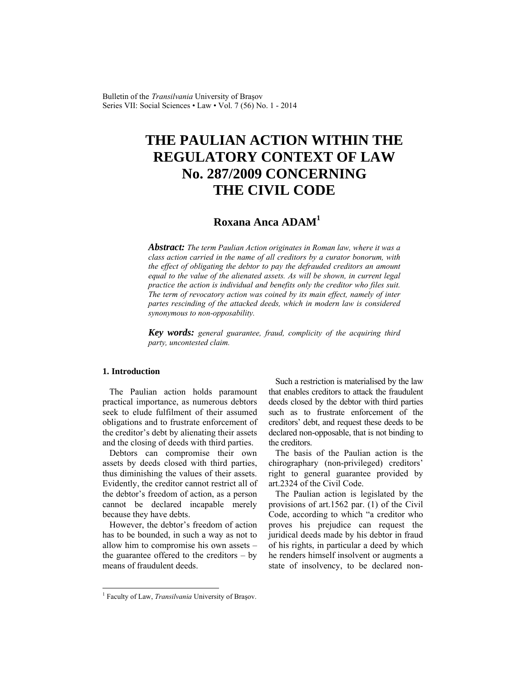Bulletin of the *Transilvania* University of Braşov Series VII: Social Sciences • Law • Vol. 7 (56) No. 1 - 2014

# **THE PAULIAN ACTION WITHIN THE REGULATORY CONTEXT OF LAW No. 287/2009 CONCERNING THE CIVIL CODE**

# **Roxana Anca ADAM1**

*Abstract: The term Paulian Action originates in Roman law, where it was a class action carried in the name of all creditors by a curator bonorum, with the effect of obligating the debtor to pay the defrauded creditors an amount equal to the value of the alienated assets. As will be shown, in current legal practice the action is individual and benefits only the creditor who files suit. The term of revocatory action was coined by its main effect, namely of inter partes rescinding of the attacked deeds, which in modern law is considered synonymous to non-opposability.* 

*Key words: general guarantee, fraud, complicity of the acquiring third party, uncontested claim.*

# **1. Introduction**

l

The Paulian action holds paramount practical importance, as numerous debtors seek to elude fulfilment of their assumed obligations and to frustrate enforcement of the creditor's debt by alienating their assets and the closing of deeds with third parties.

Debtors can compromise their own assets by deeds closed with third parties, thus diminishing the values of their assets. Evidently, the creditor cannot restrict all of the debtor's freedom of action, as a person cannot be declared incapable merely because they have debts.

However, the debtor's freedom of action has to be bounded, in such a way as not to allow him to compromise his own assets – the guarantee offered to the creditors – by means of fraudulent deeds.

Such a restriction is materialised by the law that enables creditors to attack the fraudulent deeds closed by the debtor with third parties such as to frustrate enforcement of the creditors' debt, and request these deeds to be declared non-opposable, that is not binding to the creditors.

The basis of the Paulian action is the chirographary (non-privileged) creditors' right to general guarantee provided by art.2324 of the Civil Code.

The Paulian action is legislated by the provisions of art.1562 par. (1) of the Civil Code, according to which "a creditor who proves his prejudice can request the juridical deeds made by his debtor in fraud of his rights, in particular a deed by which he renders himself insolvent or augments a state of insolvency, to be declared non-

<sup>&</sup>lt;sup>1</sup> Faculty of Law, *Transilvania* University of Brașov.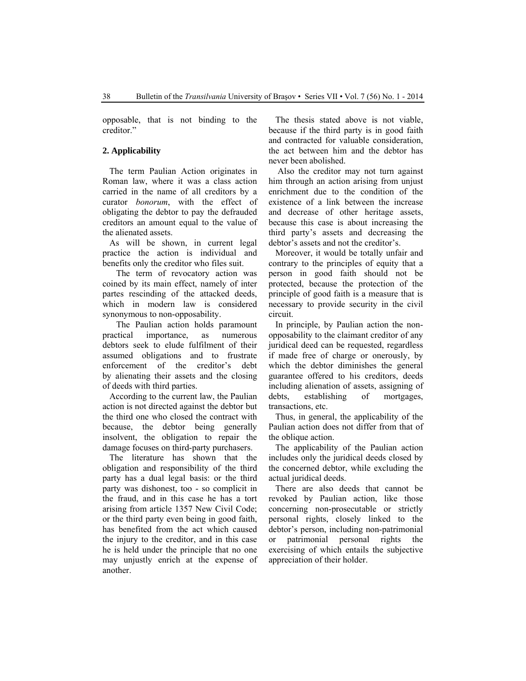opposable, that is not binding to the creditor."

# **2. Applicability**

The term Paulian Action originates in Roman law, where it was a class action carried in the name of all creditors by a curator *bonorum*, with the effect of obligating the debtor to pay the defrauded creditors an amount equal to the value of the alienated assets.

As will be shown, in current legal practice the action is individual and benefits only the creditor who files suit.

 The term of revocatory action was coined by its main effect, namely of inter partes rescinding of the attacked deeds, which in modern law is considered synonymous to non-opposability.

 The Paulian action holds paramount practical importance, as numerous debtors seek to elude fulfilment of their assumed obligations and to frustrate enforcement of the creditor's debt by alienating their assets and the closing of deeds with third parties.

According to the current law, the Paulian action is not directed against the debtor but the third one who closed the contract with because, the debtor being generally insolvent, the obligation to repair the damage focuses on third-party purchasers.

The literature has shown that the obligation and responsibility of the third party has a dual legal basis: or the third party was dishonest, too - so complicit in the fraud, and in this case he has a tort arising from article 1357 New Civil Code; or the third party even being in good faith, has benefited from the act which caused the injury to the creditor, and in this case he is held under the principle that no one may unjustly enrich at the expense of another.

The thesis stated above is not viable, because if the third party is in good faith and contracted for valuable consideration, the act between him and the debtor has never been abolished.

 Also the creditor may not turn against him through an action arising from unjust enrichment due to the condition of the existence of a link between the increase and decrease of other heritage assets, because this case is about increasing the third party's assets and decreasing the debtor's assets and not the creditor's.

Moreover, it would be totally unfair and contrary to the principles of equity that a person in good faith should not be protected, because the protection of the principle of good faith is a measure that is necessary to provide security in the civil circuit.

In principle, by Paulian action the nonopposability to the claimant creditor of any juridical deed can be requested, regardless if made free of charge or onerously, by which the debtor diminishes the general guarantee offered to his creditors, deeds including alienation of assets, assigning of debts, establishing of mortgages, transactions, etc.

Thus, in general, the applicability of the Paulian action does not differ from that of the oblique action.

The applicability of the Paulian action includes only the juridical deeds closed by the concerned debtor, while excluding the actual juridical deeds.

There are also deeds that cannot be revoked by Paulian action, like those concerning non-prosecutable or strictly personal rights, closely linked to the debtor's person, including non-patrimonial or patrimonial personal rights the exercising of which entails the subjective appreciation of their holder.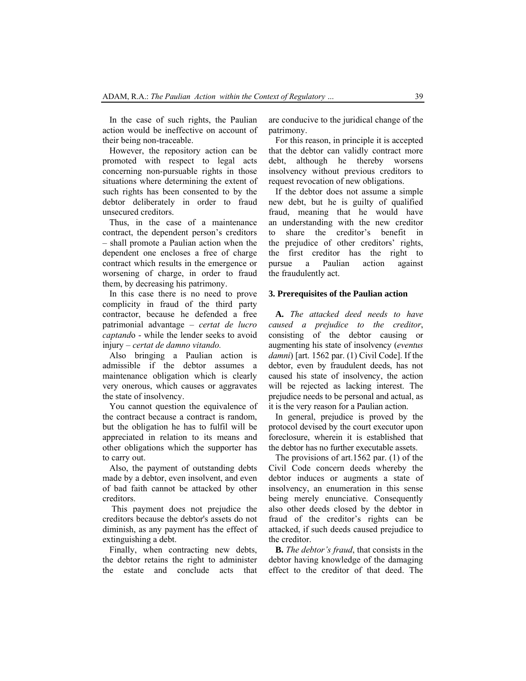In the case of such rights, the Paulian action would be ineffective on account of their being non-traceable.

However, the repository action can be promoted with respect to legal acts concerning non-pursuable rights in those situations where determining the extent of such rights has been consented to by the debtor deliberately in order to fraud unsecured creditors.

Thus, in the case of a maintenance contract, the dependent person's creditors – shall promote a Paulian action when the dependent one encloses a free of charge contract which results in the emergence or worsening of charge, in order to fraud them, by decreasing his patrimony.

In this case there is no need to prove complicity in fraud of the third party contractor, because he defended a free patrimonial advantage – *certat de lucro captand*o - while the lender seeks to avoid injury – *certat de damno vitando.*

Also bringing a Paulian action is admissible if the debtor assumes a maintenance obligation which is clearly very onerous, which causes or aggravates the state of insolvency.

You cannot question the equivalence of the contract because a contract is random, but the obligation he has to fulfil will be appreciated in relation to its means and other obligations which the supporter has to carry out.

Also, the payment of outstanding debts made by a debtor, even insolvent, and even of bad faith cannot be attacked by other creditors.

 This payment does not prejudice the creditors because the debtor's assets do not diminish, as any payment has the effect of extinguishing a debt.

Finally, when contracting new debts, the debtor retains the right to administer the estate and conclude acts that are conducive to the juridical change of the patrimony.

For this reason, in principle it is accepted that the debtor can validly contract more debt, although he thereby worsens insolvency without previous creditors to request revocation of new obligations.

If the debtor does not assume a simple new debt, but he is guilty of qualified fraud, meaning that he would have an understanding with the new creditor to share the creditor's benefit in the prejudice of other creditors' rights, the first creditor has the right to pursue a Paulian action against the fraudulently act.

# **3. Prerequisites of the Paulian action**

**A.** *The attacked deed needs to have caused a prejudice to the creditor*, consisting of the debtor causing or augmenting his state of insolvency (*eventus damni*) [art. 1562 par. (1) Civil Code]. If the debtor, even by fraudulent deeds, has not caused his state of insolvency, the action will be rejected as lacking interest. The prejudice needs to be personal and actual, as it is the very reason for a Paulian action.

In general, prejudice is proved by the protocol devised by the court executor upon foreclosure, wherein it is established that the debtor has no further executable assets.

The provisions of art.1562 par. (1) of the Civil Code concern deeds whereby the debtor induces or augments a state of insolvency, an enumeration in this sense being merely enunciative. Consequently also other deeds closed by the debtor in fraud of the creditor's rights can be attacked, if such deeds caused prejudice to the creditor.

**B.** *The debtor's fraud*, that consists in the debtor having knowledge of the damaging effect to the creditor of that deed. The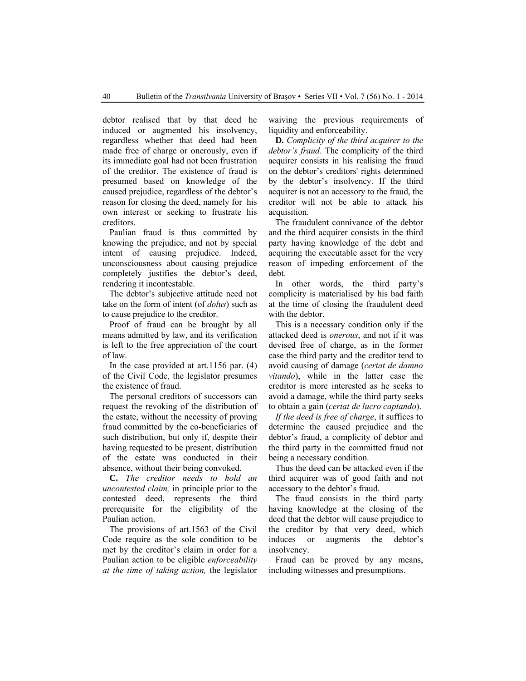debtor realised that by that deed he induced or augmented his insolvency, regardless whether that deed had been made free of charge or onerously, even if its immediate goal had not been frustration of the creditor. The existence of fraud is presumed based on knowledge of the caused prejudice, regardless of the debtor's reason for closing the deed, namely for his own interest or seeking to frustrate his creditors.

Paulian fraud is thus committed by knowing the prejudice, and not by special intent of causing prejudice. Indeed, unconsciousness about causing prejudice completely justifies the debtor's deed, rendering it incontestable.

The debtor's subjective attitude need not take on the form of intent (of *dolus*) such as to cause prejudice to the creditor.

Proof of fraud can be brought by all means admitted by law, and its verification is left to the free appreciation of the court of law.

In the case provided at art.1156 par. (4) of the Civil Code, the legislator presumes the existence of fraud.

The personal creditors of successors can request the revoking of the distribution of the estate, without the necessity of proving fraud committed by the co-beneficiaries of such distribution, but only if, despite their having requested to be present, distribution of the estate was conducted in their absence, without their being convoked.

**C.** *The creditor needs to hold an uncontested claim,* in principle prior to the contested deed, represents the third prerequisite for the eligibility of the Paulian action.

The provisions of art.1563 of the Civil Code require as the sole condition to be met by the creditor's claim in order for a Paulian action to be eligible *enforceability at the time of taking action,* the legislator waiving the previous requirements of liquidity and enforceability.

**D.** *Complicity of the third acquirer to the debtor's fraud.* The complicity of the third acquirer consists in his realising the fraud on the debtor's creditors' rights determined by the debtor's insolvency. If the third acquirer is not an accessory to the fraud, the creditor will not be able to attack his acquisition.

The fraudulent connivance of the debtor and the third acquirer consists in the third party having knowledge of the debt and acquiring the executable asset for the very reason of impeding enforcement of the debt.

In other words, the third party's complicity is materialised by his bad faith at the time of closing the fraudulent deed with the debtor.

This is a necessary condition only if the attacked deed is *onerous*, and not if it was devised free of charge, as in the former case the third party and the creditor tend to avoid causing of damage (*certat de damno vitando*), while in the latter case the creditor is more interested as he seeks to avoid a damage, while the third party seeks to obtain a gain (*certat de lucro captando*).

*If the deed is free of charge*, it suffices to determine the caused prejudice and the debtor's fraud, a complicity of debtor and the third party in the committed fraud not being a necessary condition.

Thus the deed can be attacked even if the third acquirer was of good faith and not accessory to the debtor's fraud.

The fraud consists in the third party having knowledge at the closing of the deed that the debtor will cause prejudice to the creditor by that very deed, which induces or augments the debtor's insolvency.

Fraud can be proved by any means, including witnesses and presumptions.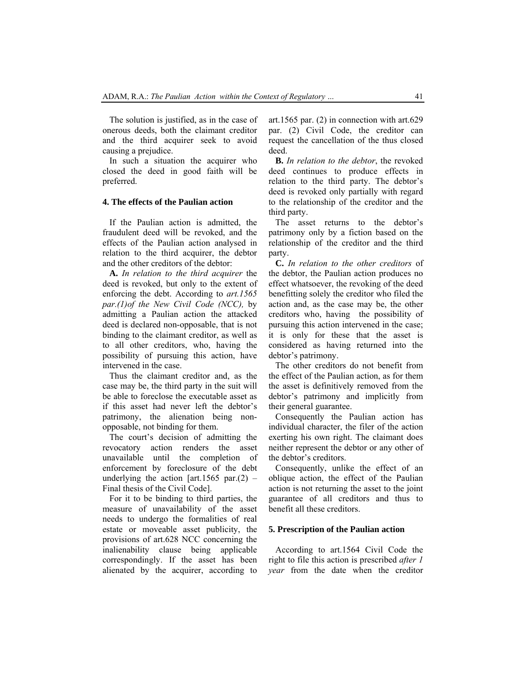The solution is justified, as in the case of onerous deeds, both the claimant creditor and the third acquirer seek to avoid causing a prejudice.

In such a situation the acquirer who closed the deed in good faith will be preferred.

#### **4. The effects of the Paulian action**

If the Paulian action is admitted, the fraudulent deed will be revoked, and the effects of the Paulian action analysed in relation to the third acquirer, the debtor and the other creditors of the debtor:

**A.** *In relation to the third acquirer* the deed is revoked, but only to the extent of enforcing the debt. According to *art.1565 par.(1)of the New Civil Code (NCC),* by admitting a Paulian action the attacked deed is declared non-opposable, that is not binding to the claimant creditor, as well as to all other creditors, who, having the possibility of pursuing this action, have intervened in the case.

Thus the claimant creditor and, as the case may be, the third party in the suit will be able to foreclose the executable asset as if this asset had never left the debtor's patrimony, the alienation being nonopposable, not binding for them.

The court's decision of admitting the revocatory action renders the asset unavailable until the completion of enforcement by foreclosure of the debt underlying the action  $[art.1565 par. (2) -$ Final thesis of the Civil Code].

For it to be binding to third parties, the measure of unavailability of the asset needs to undergo the formalities of real estate or moveable asset publicity, the provisions of art.628 NCC concerning the inalienability clause being applicable correspondingly. If the asset has been alienated by the acquirer, according to

art.1565 par. (2) in connection with art.629 par. (2) Civil Code, the creditor can request the cancellation of the thus closed deed.

**B.** *In relation to the debtor*, the revoked deed continues to produce effects in relation to the third party. The debtor's deed is revoked only partially with regard to the relationship of the creditor and the third party.

The asset returns to the debtor's patrimony only by a fiction based on the relationship of the creditor and the third party.

**C.** *In relation to the other creditors* of the debtor, the Paulian action produces no effect whatsoever, the revoking of the deed benefitting solely the creditor who filed the action and, as the case may be, the other creditors who, having the possibility of pursuing this action intervened in the case; it is only for these that the asset is considered as having returned into the debtor's patrimony.

The other creditors do not benefit from the effect of the Paulian action, as for them the asset is definitively removed from the debtor's patrimony and implicitly from their general guarantee.

Consequently the Paulian action has individual character, the filer of the action exerting his own right. The claimant does neither represent the debtor or any other of the debtor's creditors.

Consequently, unlike the effect of an oblique action, the effect of the Paulian action is not returning the asset to the joint guarantee of all creditors and thus to benefit all these creditors.

# **5. Prescription of the Paulian action**

According to art.1564 Civil Code the right to file this action is prescribed *after 1 year* from the date when the creditor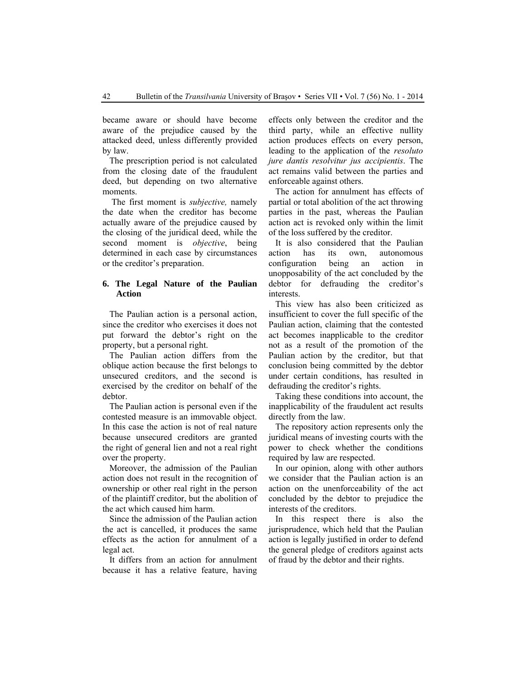became aware or should have become aware of the prejudice caused by the attacked deed, unless differently provided by law.

The prescription period is not calculated from the closing date of the fraudulent deed, but depending on two alternative moments.

 The first moment is *subjective,* namely the date when the creditor has become actually aware of the prejudice caused by the closing of the juridical deed, while the second moment is *objective*, being determined in each case by circumstances or the creditor's preparation.

# **6. The Legal Nature of the Paulian Action**

The Paulian action is a personal action, since the creditor who exercises it does not put forward the debtor's right on the property, but a personal right.

The Paulian action differs from the oblique action because the first belongs to unsecured creditors, and the second is exercised by the creditor on behalf of the debtor.

The Paulian action is personal even if the contested measure is an immovable object. In this case the action is not of real nature because unsecured creditors are granted the right of general lien and not a real right over the property.

Moreover, the admission of the Paulian action does not result in the recognition of ownership or other real right in the person of the plaintiff creditor, but the abolition of the act which caused him harm.

Since the admission of the Paulian action the act is cancelled, it produces the same effects as the action for annulment of a legal act.

It differs from an action for annulment because it has a relative feature, having

effects only between the creditor and the third party, while an effective nullity action produces effects on every person, leading to the application of the *resoluto jure dantis resolvitur jus accipientis*. The act remains valid between the parties and enforceable against others.

The action for annulment has effects of partial or total abolition of the act throwing parties in the past, whereas the Paulian action act is revoked only within the limit of the loss suffered by the creditor.

It is also considered that the Paulian action has its own, autonomous configuration being an action in unopposability of the act concluded by the debtor for defrauding the creditor's interests.

This view has also been criticized as insufficient to cover the full specific of the Paulian action, claiming that the contested act becomes inapplicable to the creditor not as a result of the promotion of the Paulian action by the creditor, but that conclusion being committed by the debtor under certain conditions, has resulted in defrauding the creditor's rights.

Taking these conditions into account, the inapplicability of the fraudulent act results directly from the law.

The repository action represents only the juridical means of investing courts with the power to check whether the conditions required by law are respected.

In our opinion, along with other authors we consider that the Paulian action is an action on the unenforceability of the act concluded by the debtor to prejudice the interests of the creditors.

In this respect there is also the jurisprudence, which held that the Paulian action is legally justified in order to defend the general pledge of creditors against acts of fraud by the debtor and their rights.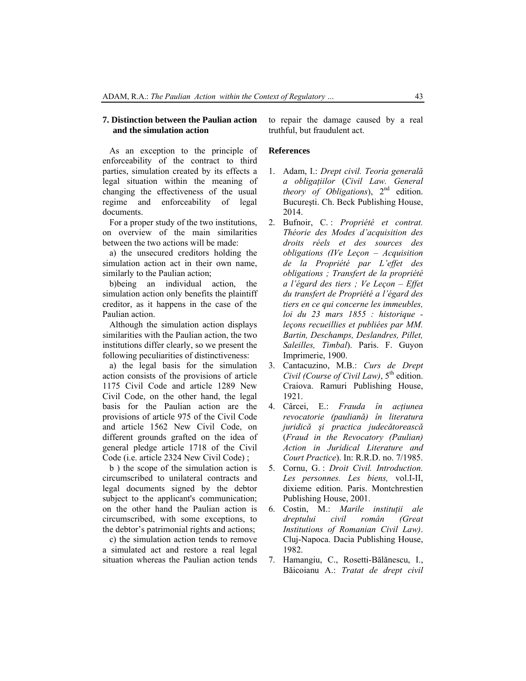### **7. Distinction between the Paulian action and the simulation action**

As an exception to the principle of enforceability of the contract to third parties, simulation created by its effects a legal situation within the meaning of changing the effectiveness of the usual regime and enforceability of legal documents.

For a proper study of the two institutions, on overview of the main similarities between the two actions will be made:

a) the unsecured creditors holding the simulation action act in their own name, similarly to the Paulian action;

b)being an individual action, the simulation action only benefits the plaintiff creditor, as it happens in the case of the Paulian action.

Although the simulation action displays similarities with the Paulian action, the two institutions differ clearly, so we present the following peculiarities of distinctiveness:

a) the legal basis for the simulation action consists of the provisions of article 1175 Civil Code and article 1289 New Civil Code, on the other hand, the legal basis for the Paulian action are the provisions of article 975 of the Civil Code and article 1562 New Civil Code, on different grounds grafted on the idea of general pledge article 1718 of the Civil Code (i.e. article 2324 New Civil Code) ;

b ) the scope of the simulation action is circumscribed to unilateral contracts and legal documents signed by the debtor subject to the applicant's communication; on the other hand the Paulian action is circumscribed, with some exceptions, to the debtor's patrimonial rights and actions;

c) the simulation action tends to remove a simulated act and restore a real legal situation whereas the Paulian action tends to repair the damage caused by a real truthful, but fraudulent act.

# **References**

- 1. Adam, I.: *Drept civil. Teoria generală a obligaţiilor* (*Civil Law. General theory of Obligations*), 2nd edition. Bucureşti. Ch. Beck Publishing House, 2014.
- 2. Bufnoir, C. : *Propriété et contrat. Théorie des Modes d'acquisition des droits réels et des sources des obligations (IVe Leçon – Acquisition de la Propriété par L'effet des obligations ; Transfert de la propriété a l'égard des tiers ; Ve Leçon – Effet du transfert de Propriété a l'égard des tiers en ce qui concerne les immeubles, loi du 23 mars 1855 : historique leçons recueillies et publiées par MM. Bartin, Deschamps, Deslandres, Pillet, Saleilles, Timbal*). Paris. F. Guyon Imprimerie, 1900.
- 3. Cantacuzino, M.B.: *Curs de Drept Civil (Course of Civil Law)*,  $5^{\text{th}}$  edition. Craiova. Ramuri Publishing House, 1921.
- 4. Cârcei, E.: *Frauda în acţiunea revocatorie (pauliană) în literatura juridică şi practica judecătorească* (*Fraud in the Revocatory (Paulian) Action in Juridical Literature and Court Practice*). In: R.R.D. no. 7/1985.
- 5. Cornu, G. : *Droit Civil. Introduction. Les personnes. Les biens,* vol.I-II, dixieme edition. Paris. Montchrestien Publishing House, 2001.
- 6. Costin, M.: *Marile instituţii ale dreptului civil român (Great Institutions of Romanian Civil Law)*. Cluj-Napoca. Dacia Publishing House, 1982.
- 7. Hamangiu, C., Rosetti-Bălănescu, I., Băicoianu A.: *Tratat de drept civil*